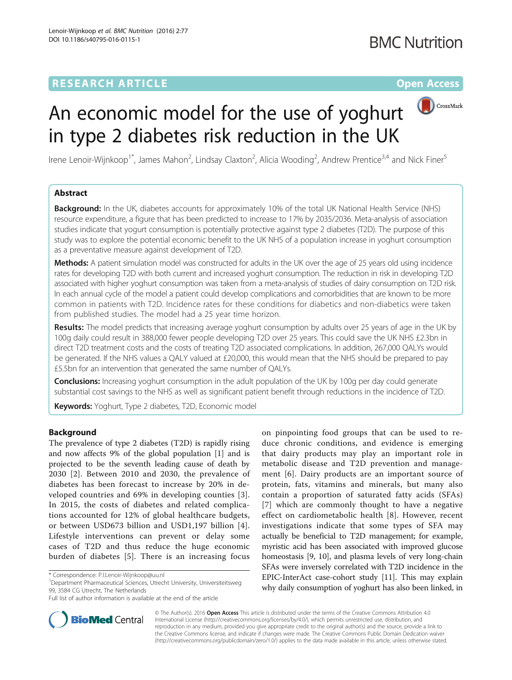# **RESEARCH ARTICLE Example 2018 12:00 Department of the Contract Open Access**



# An economic model for the use of yoghurt in type 2 diabetes risk reduction in the UK

Irene Lenoir-Wijnkoop<sup>1\*</sup>, James Mahon<sup>2</sup>, Lindsay Claxton<sup>2</sup>, Alicia Wooding<sup>2</sup>, Andrew Prentice<sup>3,4</sup> and Nick Finer<sup>5</sup>

# Abstract

Background: In the UK, diabetes accounts for approximately 10% of the total UK National Health Service (NHS) resource expenditure, a figure that has been predicted to increase to 17% by 2035/2036. Meta-analysis of association studies indicate that yogurt consumption is potentially protective against type 2 diabetes (T2D). The purpose of this study was to explore the potential economic benefit to the UK NHS of a population increase in yoghurt consumption as a preventative measure against development of T2D.

Methods: A patient simulation model was constructed for adults in the UK over the age of 25 years old using incidence rates for developing T2D with both current and increased yoghurt consumption. The reduction in risk in developing T2D associated with higher yoghurt consumption was taken from a meta-analysis of studies of dairy consumption on T2D risk. In each annual cycle of the model a patient could develop complications and comorbidities that are known to be more common in patients with T2D. Incidence rates for these conditions for diabetics and non-diabetics were taken from published studies. The model had a 25 year time horizon.

Results: The model predicts that increasing average yoghurt consumption by adults over 25 years of age in the UK by 100g daily could result in 388,000 fewer people developing T2D over 25 years. This could save the UK NHS £2.3bn in direct T2D treatment costs and the costs of treating T2D associated complications. In addition, 267,000 QALYs would be generated. If the NHS values a QALY valued at £20,000, this would mean that the NHS should be prepared to pay £5.5bn for an intervention that generated the same number of QALYs.

Conclusions: Increasing yoghurt consumption in the adult population of the UK by 100g per day could generate substantial cost savings to the NHS as well as significant patient benefit through reductions in the incidence of T2D.

Keywords: Yoghurt, Type 2 diabetes, T2D, Economic model

# Background

The prevalence of type 2 diabetes (T2D) is rapidly rising and now affects 9% of the global population [[1\]](#page-7-0) and is projected to be the seventh leading cause of death by 2030 [[2](#page-7-0)]. Between 2010 and 2030, the prevalence of diabetes has been forecast to increase by 20% in developed countries and 69% in developing counties [[3](#page-7-0)]. In 2015, the costs of diabetes and related complications accounted for 12% of global healthcare budgets, or between USD673 billion and USD1,197 billion [[4\]](#page-7-0). Lifestyle interventions can prevent or delay some cases of T2D and thus reduce the huge economic burden of diabetes [[5\]](#page-7-0). There is an increasing focus

Department Pharmaceutical Sciences, Utrecht University, Universiteitsweg 99, 3584 CG Utrecht, The Netherlands

on pinpointing food groups that can be used to reduce chronic conditions, and evidence is emerging that dairy products may play an important role in metabolic disease and T2D prevention and management [\[6\]](#page-7-0). Dairy products are an important source of protein, fats, vitamins and minerals, but many also contain a proportion of saturated fatty acids (SFAs) [[7](#page-7-0)] which are commonly thought to have a negative effect on cardiometabolic health [\[8](#page-7-0)]. However, recent investigations indicate that some types of SFA may actually be beneficial to T2D management; for example, myristic acid has been associated with improved glucose homeostasis [\[9, 10](#page-7-0)], and plasma levels of very long-chain SFAs were inversely correlated with T2D incidence in the EPIC-InterAct case-cohort study [\[11\]](#page-7-0). This may explain why daily consumption of yoghurt has also been linked, in



© The Author(s). 2016 Open Access This article is distributed under the terms of the Creative Commons Attribution 4.0 International License [\(http://creativecommons.org/licenses/by/4.0/](http://creativecommons.org/licenses/by/4.0/)), which permits unrestricted use, distribution, and reproduction in any medium, provided you give appropriate credit to the original author(s) and the source, provide a link to the Creative Commons license, and indicate if changes were made. The Creative Commons Public Domain Dedication waiver [\(http://creativecommons.org/publicdomain/zero/1.0/](http://creativecommons.org/publicdomain/zero/1.0/)) applies to the data made available in this article, unless otherwise stated.

<sup>\*</sup> Correspondence: [P.I.Lenoir-Wijnkoop@uu.nl](mailto:P.I.Lenoir-Wijnkoop@uu.nl) <sup>1</sup>

Full list of author information is available at the end of the article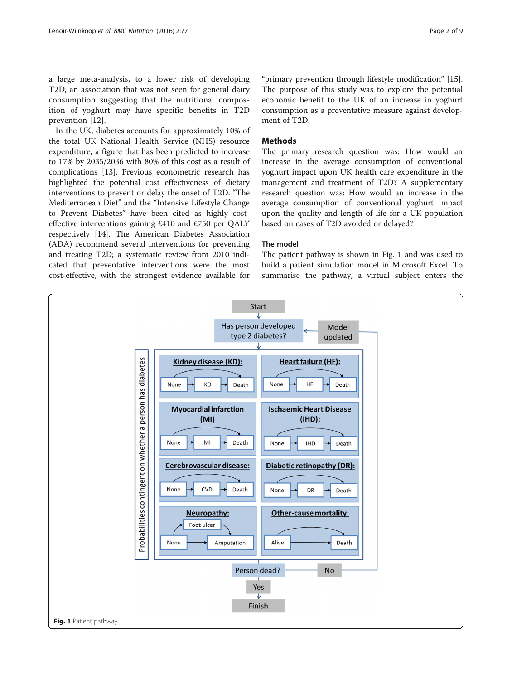a large meta-analysis, to a lower risk of developing T2D, an association that was not seen for general dairy consumption suggesting that the nutritional composition of yoghurt may have specific benefits in T2D prevention [[12\]](#page-7-0).

In the UK, diabetes accounts for approximately 10% of the total UK National Health Service (NHS) resource expenditure, a figure that has been predicted to increase to 17% by 2035/2036 with 80% of this cost as a result of complications [[13\]](#page-7-0). Previous econometric research has highlighted the potential cost effectiveness of dietary interventions to prevent or delay the onset of T2D. "The Mediterranean Diet" and the "Intensive Lifestyle Change to Prevent Diabetes" have been cited as highly costeffective interventions gaining £410 and £750 per QALY respectively [\[14](#page-7-0)]. The American Diabetes Association (ADA) recommend several interventions for preventing and treating T2D; a systematic review from 2010 indicated that preventative interventions were the most cost-effective, with the strongest evidence available for

"primary prevention through lifestyle modification" [\[15](#page-8-0)]. The purpose of this study was to explore the potential economic benefit to the UK of an increase in yoghurt consumption as a preventative measure against development of T2D.

# **Methods**

The primary research question was: How would an increase in the average consumption of conventional yoghurt impact upon UK health care expenditure in the management and treatment of T2D? A supplementary research question was: How would an increase in the average consumption of conventional yoghurt impact upon the quality and length of life for a UK population based on cases of T2D avoided or delayed?

## The model

The patient pathway is shown in Fig. 1 and was used to build a patient simulation model in Microsoft Excel. To summarise the pathway, a virtual subject enters the

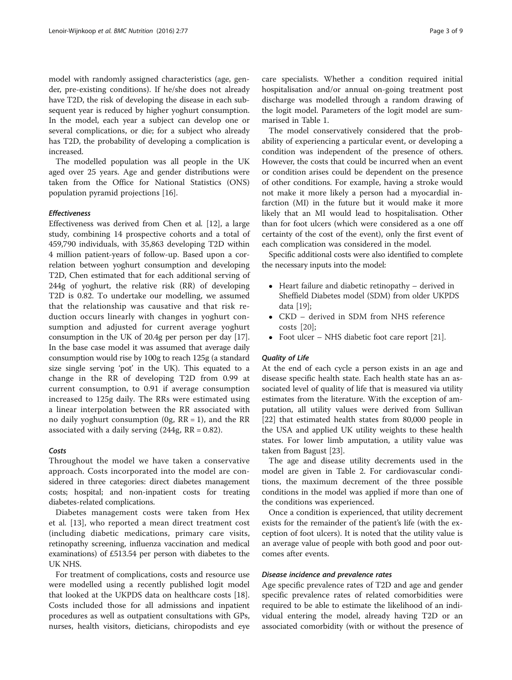model with randomly assigned characteristics (age, gender, pre-existing conditions). If he/she does not already have T2D, the risk of developing the disease in each subsequent year is reduced by higher yoghurt consumption. In the model, each year a subject can develop one or several complications, or die; for a subject who already has T2D, the probability of developing a complication is increased.

The modelled population was all people in the UK aged over 25 years. Age and gender distributions were taken from the Office for National Statistics (ONS) population pyramid projections [[16\]](#page-8-0).

#### Effectiveness

Effectiveness was derived from Chen et al. [\[12](#page-7-0)], a large study, combining 14 prospective cohorts and a total of 459,790 individuals, with 35,863 developing T2D within 4 million patient-years of follow-up. Based upon a correlation between yoghurt consumption and developing T2D, Chen estimated that for each additional serving of 244g of yoghurt, the relative risk (RR) of developing T2D is 0.82. To undertake our modelling, we assumed that the relationship was causative and that risk reduction occurs linearly with changes in yoghurt consumption and adjusted for current average yoghurt consumption in the UK of 20.4g per person per day [[17](#page-8-0)]. In the base case model it was assumed that average daily consumption would rise by 100g to reach 125g (a standard size single serving 'pot' in the UK). This equated to a change in the RR of developing T2D from 0.99 at current consumption, to 0.91 if average consumption increased to 125g daily. The RRs were estimated using a linear interpolation between the RR associated with no daily yoghurt consumption  $(0g, RR = 1)$ , and the RR associated with a daily serving  $(244g, RR = 0.82)$ .

#### Costs

Throughout the model we have taken a conservative approach. Costs incorporated into the model are considered in three categories: direct diabetes management costs; hospital; and non-inpatient costs for treating diabetes-related complications.

Diabetes management costs were taken from Hex et al. [[13](#page-7-0)], who reported a mean direct treatment cost (including diabetic medications, primary care visits, retinopathy screening, influenza vaccination and medical examinations) of £513.54 per person with diabetes to the UK NHS.

For treatment of complications, costs and resource use were modelled using a recently published logit model that looked at the UKPDS data on healthcare costs [\[18](#page-8-0)]. Costs included those for all admissions and inpatient procedures as well as outpatient consultations with GPs, nurses, health visitors, dieticians, chiropodists and eye

care specialists. Whether a condition required initial hospitalisation and/or annual on-going treatment post discharge was modelled through a random drawing of the logit model. Parameters of the logit model are summarised in Table [1.](#page-3-0)

The model conservatively considered that the probability of experiencing a particular event, or developing a condition was independent of the presence of others. However, the costs that could be incurred when an event or condition arises could be dependent on the presence of other conditions. For example, having a stroke would not make it more likely a person had a myocardial infarction (MI) in the future but it would make it more likely that an MI would lead to hospitalisation. Other than for foot ulcers (which were considered as a one off certainty of the cost of the event), only the first event of each complication was considered in the model.

Specific additional costs were also identified to complete the necessary inputs into the model:

- Heart failure and diabetic retinopathy derived in Sheffield Diabetes model (SDM) from older UKPDS data [[19](#page-8-0)];
- CKD derived in SDM from NHS reference costs [[20\]](#page-8-0);
- Foot ulcer NHS diabetic foot care report [\[21\]](#page-8-0).

### Quality of Life

At the end of each cycle a person exists in an age and disease specific health state. Each health state has an associated level of quality of life that is measured via utility estimates from the literature. With the exception of amputation, all utility values were derived from Sullivan [[22\]](#page-8-0) that estimated health states from 80,000 people in the USA and applied UK utility weights to these health states. For lower limb amputation, a utility value was taken from Bagust [\[23\]](#page-8-0).

The age and disease utility decrements used in the model are given in Table [2](#page-3-0). For cardiovascular conditions, the maximum decrement of the three possible conditions in the model was applied if more than one of the conditions was experienced.

Once a condition is experienced, that utility decrement exists for the remainder of the patient's life (with the exception of foot ulcers). It is noted that the utility value is an average value of people with both good and poor outcomes after events.

### Disease incidence and prevalence rates

Age specific prevalence rates of T2D and age and gender specific prevalence rates of related comorbidities were required to be able to estimate the likelihood of an individual entering the model, already having T2D or an associated comorbidity (with or without the presence of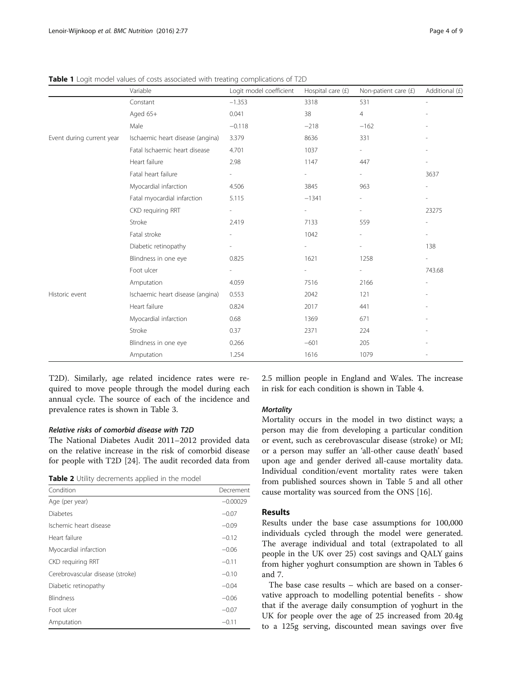|                           | Variable                         | Logit model coefficient | Hospital care $(f)$      | Non-patient care $(f)$   | Additional (£) |
|---------------------------|----------------------------------|-------------------------|--------------------------|--------------------------|----------------|
|                           | Constant                         | $-1.353$                | 3318                     | 531                      | ä,             |
|                           | Aged 65+                         | 0.041                   | 38                       | $\overline{4}$           |                |
|                           | Male                             | $-0.118$                | $-218$                   | $-162$                   |                |
| Event during current year | Ischaemic heart disease (angina) | 3.379                   | 8636                     | 331                      |                |
|                           | Fatal Ischaemic heart disease    | 4.701                   | 1037                     |                          |                |
|                           | Heart failure                    | 2.98                    | 1147                     | 447                      |                |
|                           | Fatal heart failure              |                         | $\overline{\phantom{0}}$ | $\overline{\phantom{0}}$ | 3637           |
|                           | Myocardial infarction            | 4.506                   | 3845                     | 963                      |                |
|                           | Fatal myocardial infarction      | 5.115                   | $-1341$                  |                          |                |
|                           | CKD requiring RRT                |                         | $\overline{\phantom{0}}$ |                          | 23275          |
|                           | Stroke                           | 2.419                   | 7133                     | 559                      |                |
|                           | Fatal stroke                     |                         | 1042                     |                          |                |
|                           | Diabetic retinopathy             |                         | $\overline{\phantom{0}}$ |                          | 138            |
|                           | Blindness in one eye             | 0.825                   | 1621                     | 1258                     |                |
|                           | Foot ulcer                       |                         |                          | $\overline{\phantom{m}}$ | 743.68         |
|                           | Amputation                       | 4.059                   | 7516                     | 2166                     |                |
| Historic event            | Ischaemic heart disease (angina) | 0.553                   | 2042                     | 121                      |                |
|                           | Heart failure                    | 0.824                   | 2017                     | 441                      |                |
|                           | Myocardial infarction            | 0.68                    | 1369                     | 671                      |                |
|                           | Stroke                           | 0.37                    | 2371                     | 224                      |                |
|                           |                                  |                         |                          |                          |                |

Blindness in one eye 0.266 −601 −601 205

<span id="page-3-0"></span>Table 1 Logit model values of costs associated with treating complications of T2D

T2D). Similarly, age related incidence rates were required to move people through the model during each annual cycle. The source of each of the incidence and prevalence rates is shown in Table [3](#page-4-0).

### Relative risks of comorbid disease with T2D

The National Diabetes Audit 2011–2012 provided data on the relative increase in the risk of comorbid disease for people with T2D [\[24\]](#page-8-0). The audit recorded data from

|  |  | Table 2 Utility decrements applied in the model |  |  |  |
|--|--|-------------------------------------------------|--|--|--|
|--|--|-------------------------------------------------|--|--|--|

| Condition                        | Decrement  |
|----------------------------------|------------|
| Age (per year)                   | $-0.00029$ |
| Diabetes                         | $-0.07$    |
| Ischemic heart disease           | $-0.09$    |
| Heart failure                    | $-0.12$    |
| Myocardial infarction            | $-0.06$    |
| CKD requiring RRT                | $-0.11$    |
| Cerebrovascular disease (stroke) | $-0.10$    |
| Diabetic retinopathy             | $-0.04$    |
| <b>Blindness</b>                 | $-0.06$    |
| Foot ulcer                       | $-0.07$    |
| Amputation                       | $-0.11$    |

2.5 million people in England and Wales. The increase in risk for each condition is shown in Table [4.](#page-4-0)

### **Mortality**

Amputation 1.254 1616 1079 -

Mortality occurs in the model in two distinct ways; a person may die from developing a particular condition or event, such as cerebrovascular disease (stroke) or MI; or a person may suffer an 'all-other cause death' based upon age and gender derived all-cause mortality data. Individual condition/event mortality rates were taken from published sources shown in Table [5](#page-4-0) and all other cause mortality was sourced from the ONS [[16\]](#page-8-0).

# Results

Results under the base case assumptions for 100,000 individuals cycled through the model were generated. The average individual and total (extrapolated to all people in the UK over 25) cost savings and QALY gains from higher yoghurt consumption are shown in Tables [6](#page-5-0) and [7.](#page-6-0)

The base case results – which are based on a conservative approach to modelling potential benefits - show that if the average daily consumption of yoghurt in the UK for people over the age of 25 increased from 20.4g to a 125g serving, discounted mean savings over five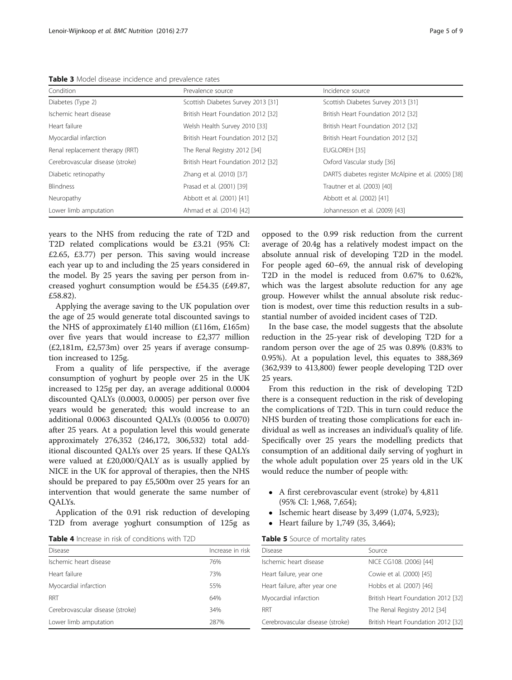<span id="page-4-0"></span>Table 3 Model disease incidence and prevalence rates

| Condition                        | Prevalence source                  | Incidence source                                    |
|----------------------------------|------------------------------------|-----------------------------------------------------|
| Diabetes (Type 2)                | Scottish Diabetes Survey 2013 [31] | Scottish Diabetes Survey 2013 [31]                  |
| Ischemic heart disease           | British Heart Foundation 2012 [32] | British Heart Foundation 2012 [32]                  |
| Heart failure                    | Welsh Health Survey 2010 [33]      | British Heart Foundation 2012 [32]                  |
| Myocardial infarction            | British Heart Foundation 2012 [32] | British Heart Foundation 2012 [32]                  |
| Renal replacement therapy (RRT)  | The Renal Registry 2012 [34]       | EUGLOREH [35]                                       |
| Cerebrovascular disease (stroke) | British Heart Foundation 2012 [32] | Oxford Vascular study [36]                          |
| Diabetic retinopathy             | Zhang et al. (2010) [37]           | DARTS diabetes register McAlpine et al. (2005) [38] |
| <b>Blindness</b>                 | Prasad et al. (2001) [39]          | Trautner et al. (2003) [40]                         |
| Neuropathy                       | Abbott et al. (2001) [41]          | Abbott et al. (2002) [41]                           |
| Lower limb amputation            | Ahmad et al. (2014) [42]           | Johannesson et al. (2009) [43]                      |

years to the NHS from reducing the rate of T2D and T2D related complications would be £3.21 (95% CI: £2.65, £3.77) per person. This saving would increase each year up to and including the 25 years considered in the model. By 25 years the saving per person from increased yoghurt consumption would be £54.35 (£49.87, £58.82).

Applying the average saving to the UK population over the age of 25 would generate total discounted savings to the NHS of approximately £140 million (£116m, £165m) over five years that would increase to £2,377 million (£2,181m, £2,573m) over 25 years if average consumption increased to 125g.

From a quality of life perspective, if the average consumption of yoghurt by people over 25 in the UK increased to 125g per day, an average additional 0.0004 discounted QALYs (0.0003, 0.0005) per person over five years would be generated; this would increase to an additional 0.0063 discounted QALYs (0.0056 to 0.0070) after 25 years. At a population level this would generate approximately 276,352 (246,172, 306,532) total additional discounted QALYs over 25 years. If these QALYs were valued at £20,000/QALY as is usually applied by NICE in the UK for approval of therapies, then the NHS should be prepared to pay £5,500m over 25 years for an intervention that would generate the same number of QALYs.

Application of the 0.91 risk reduction of developing T2D from average yoghurt consumption of 125g as

Table 4 Increase in risk of conditions with T2D

| <b>Disease</b>                   | Increase in risk |
|----------------------------------|------------------|
| Ischemic heart disease           | 76%              |
| Heart failure                    | 73%              |
| Myocardial infarction            | 55%              |
| <b>RRT</b>                       | 64%              |
| Cerebrovascular disease (stroke) | 34%              |
| Lower limb amputation            | 287%             |
|                                  |                  |

opposed to the 0.99 risk reduction from the current average of 20.4g has a relatively modest impact on the absolute annual risk of developing T2D in the model. For people aged 60–69, the annual risk of developing T2D in the model is reduced from 0.67% to 0.62%, which was the largest absolute reduction for any age group. However whilst the annual absolute risk reduction is modest, over time this reduction results in a substantial number of avoided incident cases of T2D.

In the base case, the model suggests that the absolute reduction in the 25-year risk of developing T2D for a random person over the age of 25 was 0.89% (0.83% to 0.95%). At a population level, this equates to 388,369 (362,939 to 413,800) fewer people developing T2D over 25 years.

From this reduction in the risk of developing T2D there is a consequent reduction in the risk of developing the complications of T2D. This in turn could reduce the NHS burden of treating those complications for each individual as well as increases an individual's quality of life. Specifically over 25 years the modelling predicts that consumption of an additional daily serving of yoghurt in the whole adult population over 25 years old in the UK would reduce the number of people with:

- A first cerebrovascular event (stroke) by 4,811 (95% CI: 1,968, 7,654);
- Ischemic heart disease by  $3,499$  (1,074, 5,923);
- Heart failure by 1,749 (35, 3,464);

Table 5 Source of mortality rates

| <b>Disease</b>                   | Source                             |
|----------------------------------|------------------------------------|
| Ischemic heart disease           | NICE CG108. (2006) [44]            |
| Heart failure, year one          | Cowie et al. (2000) [45]           |
| Heart failure, after year one    | Hobbs et al. (2007) [46]           |
| Myocardial infarction            | British Heart Foundation 2012 [32] |
| RRT                              | The Renal Registry 2012 [34]       |
| Cerebrovascular disease (stroke) | British Heart Foundation 2012 [32] |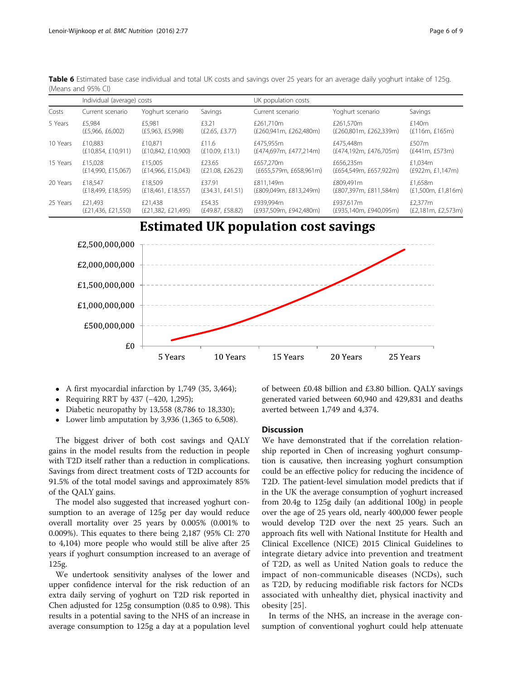|          | Individual (average) costs |                    |                  | UK population costs    |                        |                    |
|----------|----------------------------|--------------------|------------------|------------------------|------------------------|--------------------|
| Costs    | Current scenario           | Yoghurt scenario   | Savings          | Current scenario       | Yoghurt scenario       | Savings            |
| 5 Years  | £5.984                     | £5.981             | £3.21            | £261,710m              | £261.570m              | £140m              |
|          | (E5,966, E6,002)           | (E5,963, E5,998)   | (E2.65, E3.77)   | (£260,941m, £262,480m) | (£260,801m, £262,339m) | (E116m, E165m)     |
| 10 Years | £10.883                    | £10.871            | £11.6            | £475,955m              | £475,448m              | £507m              |
|          | (E10,854, E10,911)         | (E10,842, E10,900) | (E10.09, E13.1)  | (£474.697m, £477.214m) | (£474.192m, £476.705m) | (f441m, f573m)     |
| 15 Years | £15.028                    | £15,005            | £23.65           | £657,270m              | £656,235m              | £1,034m            |
|          | (E14,990, E15,067)         | (E14,966, E15,043) | (E21.08, E26.23) | (£655,579m, £658,961m) | (£654,549m, £657,922m) | (£922m, £1,147m)   |
| 20 Years | £18.547                    | £18,509            | £37.91           | £811.149m              | £809,491m              | £1,658m            |
|          | (E18, 499, E18, 595)       | (E18,461, E18,557) | (E34.31, E41.51) | (£809.049m, £813.249m) | (£807,397m, £811,584m) | (£1,500m, £1,816m) |
| 25 Years | £21.493                    | £21,438            | £54.35           | £939,994m              | £937,617m              | £2.377m            |
|          | (E21,436, E21,550)         | (E21,382, E21,495) | (£49.87, £58.82) | (£937,509m, £942,480m) | (£935,140m, £940,095m) | (£2,181m, £2,573m) |

<span id="page-5-0"></span>Table 6 Estimated base case individual and total UK costs and savings over 25 years for an average daily yoghurt intake of 125g. (Means and 95% CI)

**Estimated UK population cost savings** 



- A first myocardial infarction by 1,749 (35, 3,464);
- Requiring RRT by 437 (−420, 1,295);
- Diabetic neuropathy by 13,558 (8,786 to 18,330);
- Lower limb amputation by 3,936  $(1,365)$  to 6,508).

The biggest driver of both cost savings and QALY gains in the model results from the reduction in people with T2D itself rather than a reduction in complications. Savings from direct treatment costs of T2D accounts for 91.5% of the total model savings and approximately 85% of the QALY gains.

The model also suggested that increased yoghurt consumption to an average of 125g per day would reduce overall mortality over 25 years by 0.005% (0.001% to 0.009%). This equates to there being 2,187 (95% CI: 270 to 4,104) more people who would still be alive after 25 years if yoghurt consumption increased to an average of 125g.

We undertook sensitivity analyses of the lower and upper confidence interval for the risk reduction of an extra daily serving of yoghurt on T2D risk reported in Chen adjusted for 125g consumption (0.85 to 0.98). This results in a potential saving to the NHS of an increase in average consumption to 125g a day at a population level

of between £0.48 billion and £3.80 billion. QALY savings generated varied between 60,940 and 429,831 and deaths averted between 1,749 and 4,374.

## **Discussion**

We have demonstrated that if the correlation relationship reported in Chen of increasing yoghurt consumption is causative, then increasing yoghurt consumption could be an effective policy for reducing the incidence of T2D. The patient-level simulation model predicts that if in the UK the average consumption of yoghurt increased from 20.4g to 125g daily (an additional 100g) in people over the age of 25 years old, nearly 400,000 fewer people would develop T2D over the next 25 years. Such an approach fits well with National Institute for Health and Clinical Excellence (NICE) 2015 Clinical Guidelines to integrate dietary advice into prevention and treatment of T2D, as well as United Nation goals to reduce the impact of non-communicable diseases (NCDs), such as T2D, by reducing modifiable risk factors for NCDs associated with unhealthy diet, physical inactivity and obesity [[25](#page-8-0)].

In terms of the NHS, an increase in the average consumption of conventional yoghurt could help attenuate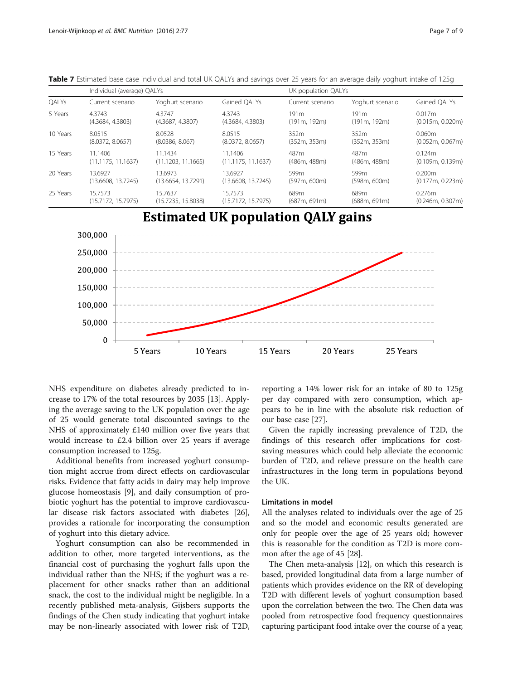| QALYs    | Individual (average) QALYs |                    |                    | UK population QALYs |                  |                  |
|----------|----------------------------|--------------------|--------------------|---------------------|------------------|------------------|
|          | Current scenario           | Yoghurt scenario   | Gained OALYs       | Current scenario    | Yoghurt scenario | Gained OALYs     |
| 5 Years  | 4.3743                     | 4.3747             | 4.3743             | 191 <sub>m</sub>    | 191 <sub>m</sub> | 0.017m           |
|          | (4.3684, 4.3803)           | (4.3687, 4.3807)   | (4.3684, 4.3803)   | (191m, 192m)        | (191m, 192m)     | (0.015m, 0.020m) |
| 10 Years | 8.0515                     | 8.0528             | 8.0515             | 352m                | 352m             | 0.060m           |
|          | (8.0372, 8.0657)           | (8.0386, 8.067)    | (8.0372, 8.0657)   | (352m, 353m)        | (352m, 353m)     | (0.052m, 0.067m) |
| 15 Years | 11.1406                    | 11.1434            | 11.1406            | 487m                | 487 <sub>m</sub> | 0.124m           |
|          | (11.1175, 11.1637)         | (11.1203, 11.1665) | (11.1175, 11.1637) | (486m, 488m)        | (486m, 488m)     | (0.109m, 0.139m) |
| 20 Years | 13.6927                    | 13.6973            | 13.6927            | 599m                | 599m             | 0.200m           |
|          | (13.6608, 13.7245)         | (13.6654, 13.7291) | (13.6608, 13.7245) | (597m, 600m)        | (598m, 600m)     | (0.177m, 0.223m) |
| 25 Years | 15.7573                    | 15.7637            | 15.7573            | 689m                | 689m             | 0.276m           |
|          | (15.7172, 15.7975)         | (15.7235, 15.8038) | (15.7172, 15.7975) | (687m, 691m)        | (688m, 691m)     | (0.246m, 0.307m) |

<span id="page-6-0"></span>Table 7 Estimated base case individual and total UK QALYs and savings over 25 years for an average daily yoghurt intake of 125g

# **Estimated UK population QALY gains**



NHS expenditure on diabetes already predicted to increase to 17% of the total resources by 2035 [\[13](#page-7-0)]. Applying the average saving to the UK population over the age of 25 would generate total discounted savings to the NHS of approximately £140 million over five years that would increase to £2.4 billion over 25 years if average consumption increased to 125g.

Additional benefits from increased yoghurt consumption might accrue from direct effects on cardiovascular risks. Evidence that fatty acids in dairy may help improve glucose homeostasis [[9\]](#page-7-0), and daily consumption of probiotic yoghurt has the potential to improve cardiovascular disease risk factors associated with diabetes [\[26](#page-8-0)], provides a rationale for incorporating the consumption of yoghurt into this dietary advice.

Yoghurt consumption can also be recommended in addition to other, more targeted interventions, as the financial cost of purchasing the yoghurt falls upon the individual rather than the NHS; if the yoghurt was a replacement for other snacks rather than an additional snack, the cost to the individual might be negligible. In a recently published meta-analysis, Gijsbers supports the findings of the Chen study indicating that yoghurt intake may be non-linearly associated with lower risk of T2D,

reporting a 14% lower risk for an intake of 80 to 125g per day compared with zero consumption, which appears to be in line with the absolute risk reduction of our base case [[27\]](#page-8-0).

Given the rapidly increasing prevalence of T2D, the findings of this research offer implications for costsaving measures which could help alleviate the economic burden of T2D, and relieve pressure on the health care infrastructures in the long term in populations beyond the UK.

### Limitations in model

All the analyses related to individuals over the age of 25 and so the model and economic results generated are only for people over the age of 25 years old; however this is reasonable for the condition as T2D is more common after the age of 45 [[28\]](#page-8-0).

The Chen meta-analysis [[12](#page-7-0)], on which this research is based, provided longitudinal data from a large number of patients which provides evidence on the RR of developing T2D with different levels of yoghurt consumption based upon the correlation between the two. The Chen data was pooled from retrospective food frequency questionnaires capturing participant food intake over the course of a year,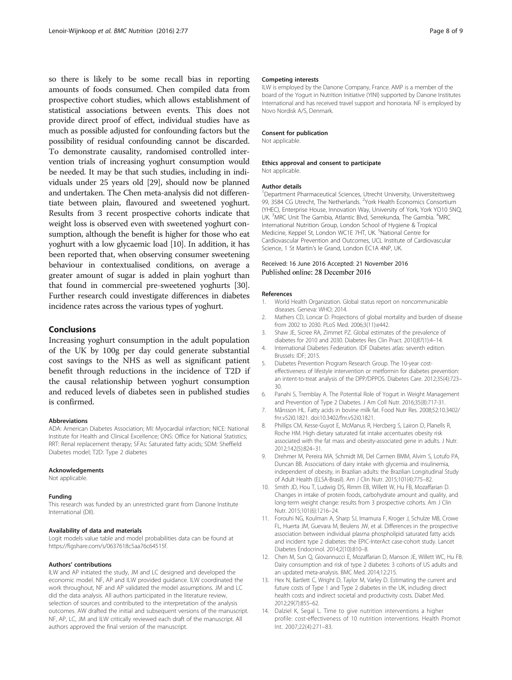<span id="page-7-0"></span>so there is likely to be some recall bias in reporting amounts of foods consumed. Chen compiled data from prospective cohort studies, which allows establishment of statistical associations between events. This does not provide direct proof of effect, individual studies have as much as possible adjusted for confounding factors but the possibility of residual confounding cannot be discarded. To demonstrate causality, randomised controlled intervention trials of increasing yoghurt consumption would be needed. It may be that such studies, including in individuals under 25 years old [\[29\]](#page-8-0), should now be planned and undertaken. The Chen meta-analysis did not differentiate between plain, flavoured and sweetened yoghurt. Results from 3 recent prospective cohorts indicate that weight loss is observed even with sweetened yoghurt consumption, although the benefit is higher for those who eat yoghurt with a low glycaemic load [10]. In addition, it has been reported that, when observing consumer sweetening behaviour in contextualised conditions, on average a greater amount of sugar is added in plain yoghurt than that found in commercial pre-sweetened yoghurts [[30](#page-8-0)]. Further research could investigate differences in diabetes incidence rates across the various types of yoghurt.

#### Conclusions

Increasing yoghurt consumption in the adult population of the UK by 100g per day could generate substantial cost savings to the NHS as well as significant patient benefit through reductions in the incidence of T2D if the causal relationship between yoghurt consumption and reduced levels of diabetes seen in published studies is confirmed.

#### Abbreviations

ADA: American Diabetes Association; MI: Myocardial infarction; NICE: National Institute for Health and Clinical Excellence; ONS: Office for National Statistics; RRT: Renal replacement therapy; SFAs: Saturated fatty acids; SDM: Sheffield Diabetes model; T2D: Type 2 diabetes

#### Acknowledgements

Not applicable.

#### Funding

This research was funded by an unrestricted grant from Danone Institute International (DII).

#### Availability of data and materials

Logit models value table and model probabilities data can be found at [https://figshare.com/s/0637618c5aa76c64515f.](https://figshare.com/s/0637618c5aa76c64515f)

#### Authors' contributions

ILW and AP initiated the study, JM and LC designed and developed the economic model. NF, AP and ILW provided guidance. ILW coordinated the work throughout, NF and AP validated the model assumptions. JM and LC did the data analysis. All authors participated in the literature review, selection of sources and contributed to the interpretation of the analysis outcomes. AW drafted the initial and subsequent versions of the manuscript. NF, AP, LC, JM and ILW critically reviewed each draft of the manuscript. All authors approved the final version of the manuscript.

#### Competing interests

ILW is employed by the Danone Company, France. AMP is a member of the board of the Yogurt in Nutrition Initiative (YINI) supported by Danone Institutes International and has received travel support and honoraria. NF is employed by Novo Nordisk A/S, Denmark.

#### Consent for publication

Not applicable.

# Ethics approval and consent to participate

Not applicable.

#### Author details

<sup>1</sup>Department Pharmaceutical Sciences, Utrecht University, Universiteitsweg 99, 3584 CG Utrecht, The Netherlands. <sup>2</sup>York Health Economics Consortium (YHEC), Enterprise House, Innovation Way, University of York, York YO10 5NQ, UK. <sup>3</sup>MRC Unit The Gambia, Atlantic Blvd, Serrekunda, The Gambia. <sup>4</sup>MRC International Nutrition Group, London School of Hygiene & Tropical Medicine, Keppel St, London WC1E 7HT, UK. <sup>5</sup>National Centre for Cardiovascular Prevention and Outcomes, UCL Institute of Cardiovascular Science, 1 St Martin's le Grand, London EC1A 4NP, UK.

# Received: 16 June 2016 Accepted: 21 November 2016

#### References

- 1. World Health Organization. Global status report on noncommunicable diseases. Geneva: WHO; 2014.
- 2. Mathers CD, Loncar D. Projections of global mortality and burden of disease from 2002 to 2030. PLoS Med. 2006;3(11):e442.
- 3. Shaw JE, Sicree RA, Zimmet PZ. Global estimates of the prevalence of diabetes for 2010 and 2030. Diabetes Res Clin Pract. 2010;87(1):4–14.
- 4. International Diabetes Federation. IDF Diabetes atlas: seventh edition. Brussels: IDF; 2015.
- 5. Diabetes Prevention Program Research Group. The 10-year costeffectiveness of lifestyle intervention or metformin for diabetes prevention: an intent-to-treat analysis of the DPP/DPPOS. Diabetes Care. 2012;35(4):723– 30.
- 6. Panahi S, Tremblay A. The Potential Role of Yogurt in Weight Management and Prevention of Type 2 Diabetes. J Am Coll Nutr. 2016;35(8):717-31.
- 7. Månsson HL. Fatty acids in bovine milk fat. Food Nutr Res. 2008;52:10.3402/ fnr.v52i0.1821. doi[:10.3402/fnr.v52i0.1821.](http://dx.doi.org/10.3402/fnr.v52i0.1821)
- 8. Phillips CM, Kesse-Guyot E, McManus R, Hercberg S, Lairon D, Planells R, Roche HM. High dietary saturated fat intake accentuates obesity risk associated with the fat mass and obesity-associated gene in adults. J Nutr. 2012;142(5):824–31.
- 9. Drehmer M, Pereira MA, Schmidt MI, Del Carmen BMM, Alvim S, Lotufo PA, Duncan BB. Associations of dairy intake with glycemia and insulinemia, independent of obesity, in Brazilian adults: the Brazilian Longitudinal Study of Adult Health (ELSA-Brasil). Am J Clin Nutr. 2015;101(4):775–82.
- 10. Smith JD, Hou T, Ludwig DS, Rimm EB, Willett W, Hu FB, Mozaffarian D. Changes in intake of protein foods, carbohydrate amount and quality, and long-term weight change: results from 3 prospective cohorts. Am J Clin Nutr. 2015;101(6):1216–24.
- 11. Forouhi NG, Koulman A, Sharp SJ, Imamura F, Kroger J, Schulze MB, Crowe FL, Huerta JM, Guevara M, Beulens JW, et al. Differences in the prospective association between individual plasma phospholipid saturated fatty acids and incident type 2 diabetes: the EPIC-InterAct case-cohort study. Lancet Diabetes Endocrinol. 2014;2(10):810–8.
- 12. Chen M, Sun Q, Giovannucci E, Mozaffarian D, Manson JE, Willett WC, Hu FB. Dairy consumption and risk of type 2 diabetes: 3 cohorts of US adults and an updated meta-analysis. BMC Med. 2014;12:215.
- 13. Hex N, Bartlett C, Wright D, Taylor M, Varley D. Estimating the current and future costs of Type 1 and Type 2 diabetes in the UK, including direct health costs and indirect societal and productivity costs. Diabet Med. 2012;29(7):855–62.
- 14. Dalziel K, Segal L. Time to give nutrition interventions a higher profile: cost-effectiveness of 10 nutrition interventions. Health Promot Int. 2007;22(4):271–83.